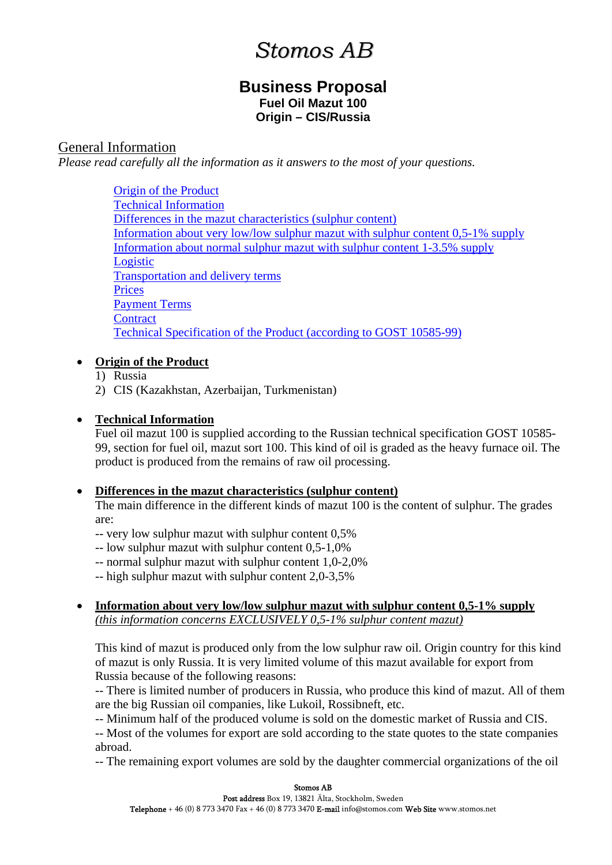# *Stomos AB*

# **Business Proposal Fuel Oil Mazut 100 Origin – CIS/Russia**

# <span id="page-0-0"></span>General Information

*Please read carefully all the information as it answers to the most of your questions.* 

[Origin of the Product](#page-0-0) [Technical Information](#page-0-0) [Differences in the mazut characteristics \(sulphur content\)](#page-0-0) [Information about very low/low sulphur mazut with sulphur content 0,5-1% supply](#page-0-0) [Information about normal sulphur mazut with sulphur content 1-3.5% supply](#page-1-0) [Logistic](#page-1-0) [Transportation and delivery terms](#page-1-0) [Prices](#page-1-0) [Payment Terms](#page-1-0) **[Contract](#page-1-0)** [Technical Specification of the Product \(according to GOST 10585-99\)](#page-2-0)

# • **Origin of the Product**

- 1) Russia
- 2) CIS (Kazakhstan, Azerbaijan, Turkmenistan)

#### • **Technical Information**

Fuel oil mazut 100 is supplied according to the Russian technical specification GOST 10585- 99, section for fuel oil, mazut sort 100. This kind of oil is graded as the heavy furnace oil. The product is produced from the remains of raw oil processing.

# • **Differences in the mazut characteristics (sulphur content)**

The main difference in the different kinds of mazut 100 is the content of sulphur. The grades are:

- -- very low sulphur mazut with sulphur content 0,5%
- -- low sulphur mazut with sulphur content 0,5-1,0%
- -- normal sulphur mazut with sulphur content 1,0-2,0%
- -- high sulphur mazut with sulphur content 2,0-3,5%
- **Information about very low/low sulphur mazut with sulphur content 0,5-1% supply** *(this information concerns EXCLUSIVELY 0,5-1% sulphur content mazut)*

This kind of mazut is produced only from the low sulphur raw oil. Origin country for this kind of mazut is only Russia. It is very limited volume of this mazut available for export from Russia because of the following reasons:

-- There is limited number of producers in Russia, who produce this kind of mazut. All of them are the big Russian oil companies, like Lukoil, Rossibneft, etc.

-- Minimum half of the produced volume is sold on the domestic market of Russia and CIS.

-- Most of the volumes for export are sold according to the state quotes to the state companies abroad.

-- The remaining export volumes are sold by the daughter commercial organizations of the oil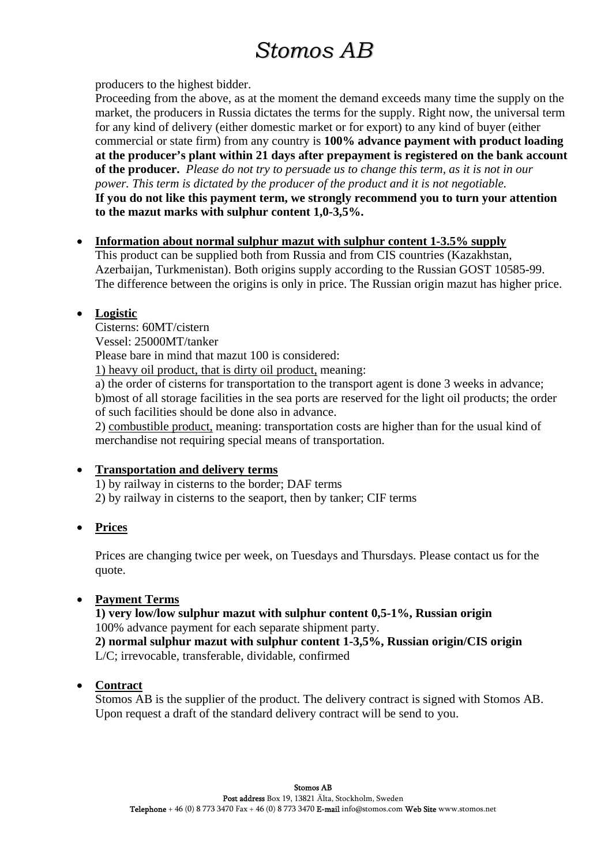# *Stomos AB*

<span id="page-1-0"></span>producers to the highest bidder.

Proceeding from the above, as at the moment the demand exceeds many time the supply on the market, the producers in Russia dictates the terms for the supply. Right now, the universal term for any kind of delivery (either domestic market or for export) to any kind of buyer (either commercial or state firm) from any country is **100% advance payment with product loading at the producer's plant within 21 days after prepayment is registered on the bank account of the producer.** *Please do not try to persuade us to change this term, as it is not in our power. This term is dictated by the producer of the product and it is not negotiable.*  **If you do not like this payment term, we strongly recommend you to turn your attention to the mazut marks with sulphur content 1,0-3,5%.** 

#### • **Information about normal sulphur mazut with sulphur content 1-3.5% supply**

This product can be supplied both from Russia and from CIS countries (Kazakhstan, Azerbaijan, Turkmenistan). Both origins supply according to the Russian GOST 10585-99. The difference between the origins is only in price. The Russian origin mazut has higher price.

# • **Logistic**

Cisterns: 60MT/cistern

Vessel: 25000MT/tanker

Please bare in mind that mazut 100 is considered:

1) heavy oil product, that is dirty oil product, meaning:

a) the order of cisterns for transportation to the transport agent is done 3 weeks in advance; b)most of all storage facilities in the sea ports are reserved for the light oil products; the order of such facilities should be done also in advance.

2) combustible product, meaning: transportation costs are higher than for the usual kind of merchandise not requiring special means of transportation.

# • **Transportation and delivery terms**

1) by railway in cisterns to the border; DAF terms

2) by railway in cisterns to the seaport, then by tanker; CIF terms

• **Prices**

Prices are changing twice per week, on Tuesdays and Thursdays. Please contact us for the quote.

# • **Payment Terms**

**1) very low/low sulphur mazut with sulphur content 0,5-1%, Russian origin**  100% advance payment for each separate shipment party.

**2) normal sulphur mazut with sulphur content 1-3,5%, Russian origin/CIS origin** L/C; irrevocable, transferable, dividable, confirmed

# • **Contract**

Stomos AB is the supplier of the product. The delivery contract is signed with Stomos AB. Upon request a draft of the standard delivery contract will be send to you.